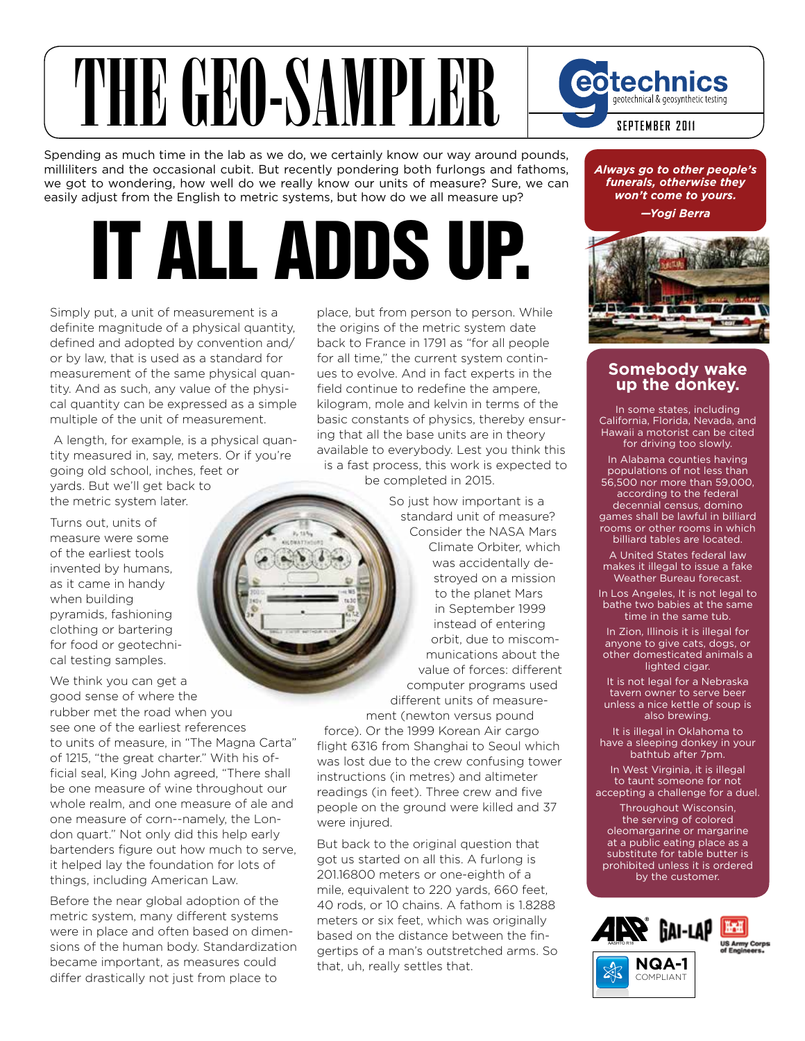#### THE GEO-SAMPLER eotechnics geotechnical & geosynthetic testing. **september 2011**

Spending as much time in the lab as we do, we certainly know our way around pounds, milliliters and the occasional cubit. But recently pondering both furlongs and fathoms, we got to wondering, how well do we really know our units of measure? Sure, we can easily adjust from the English to metric systems, but how do we all measure up?

# IT ALL ADDS UP.

Simply put, a unit of measurement is a definite magnitude of a physical quantity, defined and adopted by convention and/ or by law, that is used as a standard for measurement of the same physical quantity. And as such, any value of the physical quantity can be expressed as a simple multiple of the unit of measurement.

 A length, for example, is a physical quantity measured in, say, meters. Or if you're going old school, inches, feet or yards. But we'll get back to the metric system later.

Turns out, units of measure were some of the earliest tools invented by humans, as it came in handy when building pyramids, fashioning clothing or bartering for food or geotechnical testing samples.

We think you can get a good sense of where the rubber met the road when you see one of the earliest references to units of measure, in "The Magna Carta" of 1215, "the great charter." With his official seal, King John agreed, "There shall be one measure of wine throughout our whole realm, and one measure of ale and one measure of corn--namely, the London quart." Not only did this help early bartenders figure out how much to serve, it helped lay the foundation for lots of things, including American Law.

Before the near global adoption of the metric system, many different systems were in place and often based on dimensions of the human body. Standardization became important, as measures could differ drastically not just from place to

place, but from person to person. While the origins of the metric system date back to France in 1791 as "for all people for all time," the current system continues to evolve. And in fact experts in the field continue to redefine the ampere, kilogram, mole and kelvin in terms of the basic constants of physics, thereby ensuring that all the base units are in theory available to everybody. Lest you think this is a fast process, this work is expected to be completed in 2015.

> So just how important is a standard unit of measure? Consider the NASA Mars Climate Orbiter, which was accidentally destroyed on a mission to the planet Mars in September 1999 instead of entering orbit, due to miscommunications about the value of forces: different computer programs used different units of measure-

ment (newton versus pound force). Or the 1999 Korean Air cargo flight 6316 from Shanghai to Seoul which was lost due to the crew confusing tower instructions (in metres) and altimeter readings (in feet). Three crew and five people on the ground were killed and 37 were injured.

But back to the original question that got us started on all this. A furlong is 201.16800 meters or one-eighth of a mile, equivalent to 220 yards, 660 feet, 40 rods, or 10 chains. A fathom is 1.8288 meters or six feet, which was originally based on the distance between the fingertips of a man's outstretched arms. So that, uh, really settles that.

*Always go to other people's funerals, otherwise they won't come to yours.*

*—Yogi Berra*



#### **Somebody wake up the donkey.**

In some states, including California, Florida, Nevada, and Hawaii a motorist can be cited for driving too slowly.

In Alabama counties having populations of not less than 56,500 nor more than 59,000, according to the federal decennial census, domino games shall be lawful in billiard rooms or other rooms in which billiard tables are located.

A United States federal law makes it illegal to issue a fake Weather Bureau forecast.

In Los Angeles, It is not legal to bathe two babies at the same time in the same tub.

In Zion, Illinois it is illegal for anyone to give cats, dogs, or other domesticated animals a lighted cigar.

It is not legal for a Nebraska tavern owner to serve beer unless a nice kettle of soup is also brewing.

It is illegal in Oklahoma to have a sleeping donkey in your bathtub after 7pm.

In West Virginia, it is illegal to taunt someone for not accepting a challenge for a duel. Throughout Wisconsin,

the serving of colored oleomargarine or margarine at a public eating place as a substitute for table butter is prohibited unless it is ordered by the customer.